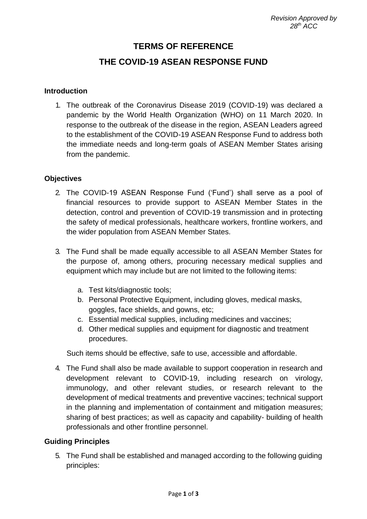# **TERMS OF REFERENCE**

## **THE COVID-19 ASEAN RESPONSE FUND**

#### **Introduction**

1. The outbreak of the Coronavirus Disease 2019 (COVID-19) was declared a pandemic by the World Health Organization (WHO) on 11 March 2020. In response to the outbreak of the disease in the region, ASEAN Leaders agreed to the establishment of the COVID-19 ASEAN Response Fund to address both the immediate needs and long-term goals of ASEAN Member States arising from the pandemic.

#### **Objectives**

- 2. The COVID-19 ASEAN Response Fund ('Fund') shall serve as a pool of financial resources to provide support to ASEAN Member States in the detection, control and prevention of COVID-19 transmission and in protecting the safety of medical professionals, healthcare workers, frontline workers, and the wider population from ASEAN Member States.
- 3. The Fund shall be made equally accessible to all ASEAN Member States for the purpose of, among others, procuring necessary medical supplies and equipment which may include but are not limited to the following items:
	- a. Test kits/diagnostic tools;
	- b. Personal Protective Equipment, including gloves, medical masks, goggles, face shields, and gowns, etc;
	- c. Essential medical supplies, including medicines and vaccines;
	- d. Other medical supplies and equipment for diagnostic and treatment procedures.

Such items should be effective, safe to use, accessible and affordable.

4. The Fund shall also be made available to support cooperation in research and development relevant to COVID-19, including research on virology, immunology, and other relevant studies, or research relevant to the development of medical treatments and preventive vaccines; technical support in the planning and implementation of containment and mitigation measures; sharing of best practices; as well as capacity and capability- building of health professionals and other frontline personnel.

#### **Guiding Principles**

5. The Fund shall be established and managed according to the following guiding principles: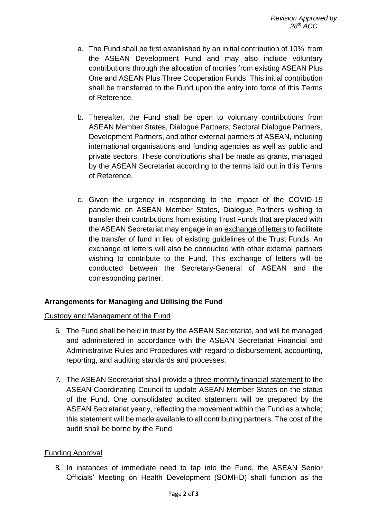- a. The Fund shall be first established by an initial contribution of 10% from the ASEAN Development Fund and may also include voluntary contributions through the allocation of monies from existing ASEAN Plus One and ASEAN Plus Three Cooperation Funds. This initial contribution shall be transferred to the Fund upon the entry into force of this Terms of Reference.
- b. Thereafter, the Fund shall be open to voluntary contributions from ASEAN Member States, Dialogue Partners, Sectoral Dialogue Partners, Development Partners, and other external partners of ASEAN, including international organisations and funding agencies as well as public and private sectors. These contributions shall be made as grants, managed by the ASEAN Secretariat according to the terms laid out in this Terms of Reference.
- c. Given the urgency in responding to the impact of the COVID-19 pandemic on ASEAN Member States, Dialogue Partners wishing to transfer their contributions from existing Trust Funds that are placed with the ASEAN Secretariat may engage in an exchange of letters to facilitate the transfer of fund in lieu of existing guidelines of the Trust Funds. An exchange of letters will also be conducted with other external partners wishing to contribute to the Fund. This exchange of letters will be conducted between the Secretary-General of ASEAN and the corresponding partner.

## **Arrangements for Managing and Utilising the Fund**

## Custody and Management of the Fund

- 6. The Fund shall be held in trust by the ASEAN Secretariat, and will be managed and administered in accordance with the ASEAN Secretariat Financial and Administrative Rules and Procedures with regard to disbursement, accounting, reporting, and auditing standards and processes.
- 7. The ASEAN Secretariat shall provide a three-monthly financial statement to the ASEAN Coordinating Council to update ASEAN Member States on the status of the Fund. One consolidated audited statement will be prepared by the ASEAN Secretariat yearly, reflecting the movement within the Fund as a whole; this statement will be made available to all contributing partners. The cost of the audit shall be borne by the Fund.

#### Funding Approval

8. In instances of immediate need to tap into the Fund, the ASEAN Senior Officials' Meeting on Health Development (SOMHD) shall function as the